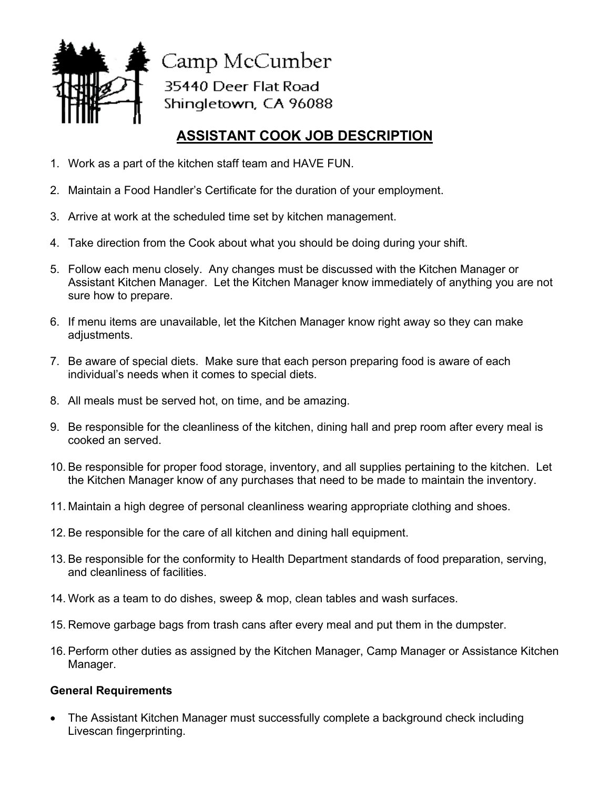

Camp McCumber 35440 Deer Flat Road Shingletown, CA 96088

## **ASSISTANT COOK JOB DESCRIPTION**

- 1. Work as a part of the kitchen staff team and HAVE FUN.
- 2. Maintain a Food Handler's Certificate for the duration of your employment.
- 3. Arrive at work at the scheduled time set by kitchen management.
- 4. Take direction from the Cook about what you should be doing during your shift.
- 5. Follow each menu closely. Any changes must be discussed with the Kitchen Manager or Assistant Kitchen Manager. Let the Kitchen Manager know immediately of anything you are not sure how to prepare.
- 6. If menu items are unavailable, let the Kitchen Manager know right away so they can make adjustments.
- 7. Be aware of special diets. Make sure that each person preparing food is aware of each individual's needs when it comes to special diets.
- 8. All meals must be served hot, on time, and be amazing.
- 9. Be responsible for the cleanliness of the kitchen, dining hall and prep room after every meal is cooked an served.
- 10. Be responsible for proper food storage, inventory, and all supplies pertaining to the kitchen. Let the Kitchen Manager know of any purchases that need to be made to maintain the inventory.
- 11. Maintain a high degree of personal cleanliness wearing appropriate clothing and shoes.
- 12. Be responsible for the care of all kitchen and dining hall equipment.
- 13. Be responsible for the conformity to Health Department standards of food preparation, serving, and cleanliness of facilities.
- 14. Work as a team to do dishes, sweep & mop, clean tables and wash surfaces.
- 15. Remove garbage bags from trash cans after every meal and put them in the dumpster.
- 16. Perform other duties as assigned by the Kitchen Manager, Camp Manager or Assistance Kitchen Manager.

## **General Requirements**

• The Assistant Kitchen Manager must successfully complete a background check including Livescan fingerprinting.